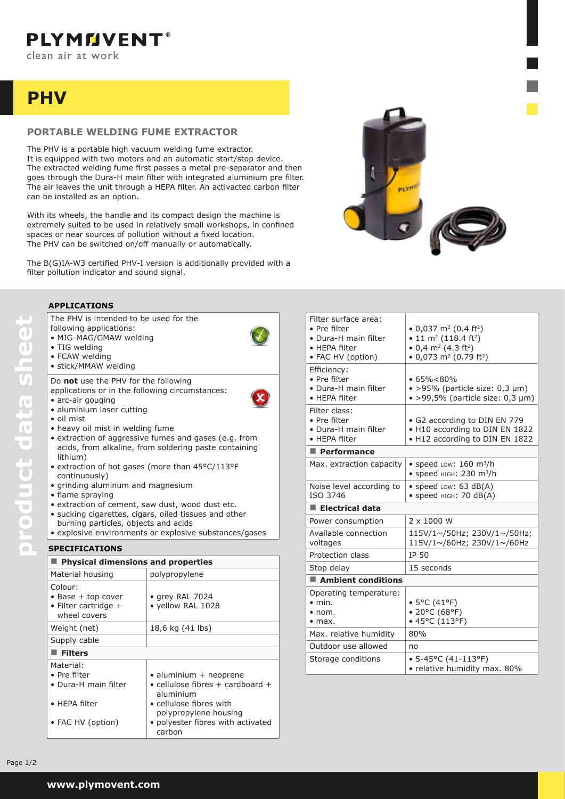# **PHV**

## **Portable welding fume extractor**

The PHV is intended to be used for the

The PHV is a portable high vacuum welding fume extractor. It is equipped with two motors and an automatic start/stop device. The extracted welding fume first passes a metal pre-separator and then goes through the Dura-H main filter with integrated aluminium pre filter. The air leaves the unit through a HEPA filter. An activacted carbon filter can be installed as an option.

With its wheels, the handle and its compact design the machine is extremely suited to be used in relatively small workshops, in confined spaces or near sources of pollution without a fixed location. The PHV can be switched on/off manually or automatically.

The B(G)IA-W3 certified PHV-I version is additionally provided with a filter pollution indicator and sound signal.



#### **applications**

• TIG welding

following applications: • MIG-MAG/GMAW welding

| • FCAW welding<br>· stick/MMAW welding                                                                                                                                                                                                                                                                                                                                                                                           |                                                                                                                                                                                                                                   |  |
|----------------------------------------------------------------------------------------------------------------------------------------------------------------------------------------------------------------------------------------------------------------------------------------------------------------------------------------------------------------------------------------------------------------------------------|-----------------------------------------------------------------------------------------------------------------------------------------------------------------------------------------------------------------------------------|--|
| Do not use the PHV for the following<br>applications or in the following circumstances:<br>· arc-air gouging<br>· aluminium laser cutting<br>• oil mist<br>• heavy oil mist in welding fume<br>lithium)<br>• extraction of hot gases (more than 45°C/113°F<br>continuously)<br>· grinding aluminum and magnesium<br>• flame spraying<br>· extraction of cement, saw dust, wood dust etc.<br>burning particles, objects and acids | • extraction of aggressive fumes and gases (e.g. from<br>acids, from alkaline, from soldering paste containing<br>· sucking cigarettes, cigars, oiled tissues and other<br>• explosive environments or explosive substances/gases |  |
|                                                                                                                                                                                                                                                                                                                                                                                                                                  |                                                                                                                                                                                                                                   |  |
| <b>SPECIFICATIONS</b>                                                                                                                                                                                                                                                                                                                                                                                                            |                                                                                                                                                                                                                                   |  |
| Physical dimensions and properties                                                                                                                                                                                                                                                                                                                                                                                               |                                                                                                                                                                                                                                   |  |
| Material housing                                                                                                                                                                                                                                                                                                                                                                                                                 | polypropylene                                                                                                                                                                                                                     |  |
| Colour:<br>$\bullet$ Base + top cover<br>· Filter cartridge +<br>wheel covers                                                                                                                                                                                                                                                                                                                                                    | • grey RAL 7024<br>· yellow RAL 1028                                                                                                                                                                                              |  |
| Weight (net)                                                                                                                                                                                                                                                                                                                                                                                                                     | 18,6 kg (41 lbs)                                                                                                                                                                                                                  |  |
| Supply cable                                                                                                                                                                                                                                                                                                                                                                                                                     |                                                                                                                                                                                                                                   |  |
| $\blacksquare$ Filters                                                                                                                                                                                                                                                                                                                                                                                                           |                                                                                                                                                                                                                                   |  |
| Material:<br>• Pre filter<br>• Dura-H main filter<br>• HEPA filter<br>• FAC HV (option)                                                                                                                                                                                                                                                                                                                                          | · aluminium + neoprene<br>$\bullet$ cellulose fibres + cardboard +<br>aluminium<br>• cellulose fibres with<br>polypropylene housing<br>· polyester fibres with activated<br>carbon                                                |  |

| Filter surface area:<br>• Pre filter<br>• Dura-H main filter<br>• HEPA filter<br>• FAC HV (option) | • 0,037 m <sup>2</sup> (0.4 ft <sup>2</sup> )<br>• 11 m <sup>2</sup> (118.4 ft <sup>2</sup> )<br>• 0,4 m <sup>2</sup> (4.3 ft <sup>2</sup> )<br>• 0,073 m <sup>2</sup> (0.79 ft <sup>2</sup> ) |  |
|----------------------------------------------------------------------------------------------------|------------------------------------------------------------------------------------------------------------------------------------------------------------------------------------------------|--|
| Efficiency:<br>• Pre filter<br>• Dura-H main filter<br>• HEPA filter                               | •65% < 80%<br>$\bullet$ >95% (particle size: 0,3 µm)<br>$\bullet$ >99,5% (particle size: 0,3 µm)                                                                                               |  |
| Filter class:<br>• Pre filter<br>• Dura-H main filter<br>• HEPA filter                             | • G2 according to DIN EN 779<br>• H10 according to DIN EN 1822<br>• H12 according to DIN EN 1822                                                                                               |  |
| $\blacksquare$ Performance                                                                         |                                                                                                                                                                                                |  |
| Max. extraction capacity                                                                           | • speed Low: $160 \text{ m}^3\text{/h}$<br>• speed HIGH: 230 m <sup>3</sup> /h                                                                                                                 |  |
| Noise level according to<br>ISO 3746                                                               | $\bullet$ speed Low: 63 dB(A)<br>• speed HIGH: 70 dB(A)                                                                                                                                        |  |
| $\blacksquare$ Electrical data                                                                     |                                                                                                                                                                                                |  |
| Power consumption                                                                                  | 2 x 1000 W                                                                                                                                                                                     |  |
| Available connection<br>voltages                                                                   | 115V/1~/50Hz; 230V/1~/50Hz;<br>115V/1~/60Hz; 230V/1~/60Hz                                                                                                                                      |  |
| Protection class                                                                                   | IP 50                                                                                                                                                                                          |  |
| Stop delay                                                                                         | 15 seconds                                                                                                                                                                                     |  |
| $\blacksquare$ Ambient conditions                                                                  |                                                                                                                                                                                                |  |
| Operating temperature:<br>$\bullet$ min.<br>$\bullet$ nom.<br>$\bullet$ max.                       | • 5°C (41°F)<br>• 20°C (68°F)<br>• 45°C (113°F)                                                                                                                                                |  |
| Max. relative humidity                                                                             | 80%                                                                                                                                                                                            |  |
| Outdoor use allowed                                                                                | no                                                                                                                                                                                             |  |
| Storage conditions                                                                                 | $• 5 - 45°C (41 - 113°F)$<br>• relative humidity max. 80%                                                                                                                                      |  |

**product data sheet**

product data sheet